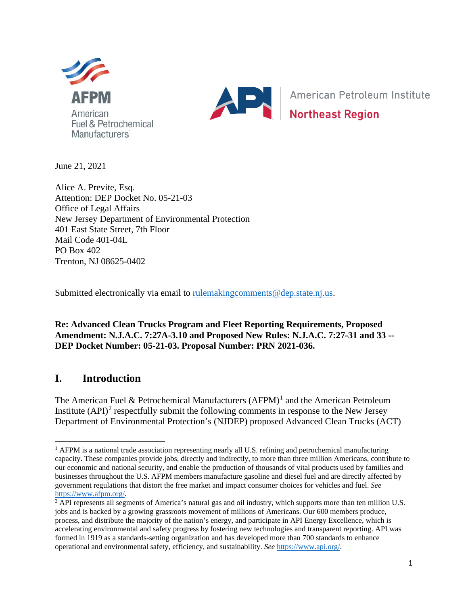



American Petroleum Institute **Northeast Region** 

June 21, 2021

Alice A. Previte, Esq. Attention: DEP Docket No. 05-21-03 Office of Legal Affairs New Jersey Department of Environmental Protection 401 East State Street, 7th Floor Mail Code 401-04L PO Box 402 Trenton, NJ 08625-0402

Submitted electronically via email to rulemaking comments @dep.state.nj.us.

**Re: Advanced Clean Trucks Program and Fleet Reporting Requirements, Proposed Amendment: N.J.A.C. 7:27A-3.10 and Proposed New Rules: N.J.A.C. 7:27-31 and 33 -- DEP Docket Number: 05-21-03. Proposal Number: PRN 2021-036.**

# **I. Introduction**

The American Fuel & Petrochemical Manufacturers  $(AFPM)^1$  $(AFPM)^1$  and the American Petroleum Institute  $(API)^2$  $(API)^2$  respectfully submit the following comments in response to the New Jersey Department of Environmental Protection's (NJDEP) proposed Advanced Clean Trucks (ACT)

<span id="page-0-0"></span> $<sup>1</sup>$  AFPM is a national trade association representing nearly all U.S. refining and petrochemical manufacturing</sup> capacity. These companies provide jobs, directly and indirectly, to more than three million Americans, contribute to our economic and national security, and enable the production of thousands of vital products used by families and businesses throughout the U.S. AFPM members manufacture gasoline and diesel fuel and are directly affected by government regulations that distort the free market and impact consumer choices for vehicles and fuel. *See*  $\frac{https://www.afpm.org/}{2}$  API represents all segments of America's natural gas and oil industry, which supports more than ten million U.S.

<span id="page-0-1"></span>jobs and is backed by a growing grassroots movement of millions of Americans. Our 600 members produce, process, and distribute the majority of the nation's energy, and participate in API Energy Excellence, which is accelerating environmental and safety progress by fostering new technologies and transparent reporting. API was formed in 1919 as a standards-setting organization and has developed more than 700 standards to enhance operational and environmental safety, efficiency, and sustainability. *See* [https://www.api.org/.](https://www.api.org/)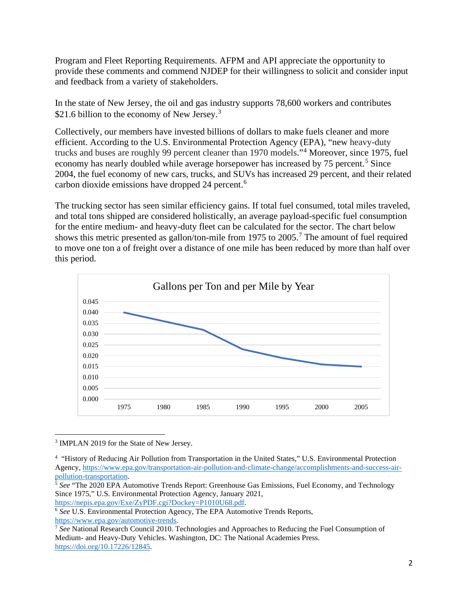Program and Fleet Reporting Requirements. AFPM and API appreciate the opportunity to provide these comments and commend NJDEP for their willingness to solicit and consider input and feedback from a variety of stakeholders.

In the state of New Jersey, the oil and gas industry supports 78,600 workers and contributes \$21.6 billion to the economy of New Jersey.<sup>[3](#page-1-0)</sup>

Collectively, our members have invested billions of dollars to make fuels cleaner and more efficient. According to the U.S. Environmental Protection Agency (EPA), "new heavy-duty trucks and buses are roughly 99 percent cleaner than 1970 models."[4](#page-1-1) Moreover, since 1975, fuel economy has nearly doubled while average horsepower has increased by 7[5](#page-1-2) percent.<sup>5</sup> Since 2004, the fuel economy of new cars, trucks, and SUVs has increased 29 percent, and their related carbon dioxide emissions have dropped 24 percent. [6](#page-1-3)

The trucking sector has seen similar efficiency gains. If total fuel consumed, total miles traveled, and total tons shipped are considered holistically, an average payload-specific fuel consumption for the entire medium- and heavy-duty fleet can be calculated for the sector. The chart below shows this metric presented as gallon/ton-mile from 19[7](#page-1-4)5 to  $2005$ .<sup>7</sup> The amount of fuel required to move one ton a of freight over a distance of one mile has been reduced by more than half over this period.



<span id="page-1-0"></span><sup>&</sup>lt;sup>3</sup> IMPLAN 2019 for the State of New Jersey.

[https://nepis.epa.gov/Exe/ZyPDF.cgi?Dockey=P1010U68.pdf.](https://nepis.epa.gov/Exe/ZyPDF.cgi?Dockey=P1010U68.pdf)

<span id="page-1-1"></span><sup>4</sup> "History of Reducing Air Pollution from Transportation in the United States," U.S. Environmental Protection Agency, [https://www.epa.gov/transportation-air-pollution-and-climate-change/accomplishments-and-success-air](https://www.epa.gov/transportation-air-pollution-and-climate-change/accomplishments-and-success-air-pollution-transportation)[pollution-transportation.](https://www.epa.gov/transportation-air-pollution-and-climate-change/accomplishments-and-success-air-pollution-transportation)

<span id="page-1-2"></span><sup>&</sup>lt;sup>5</sup> See "The 2020 EPA Automotive Trends Report: Greenhouse Gas Emissions, Fuel Economy, and Technology Since 1975," U.S. Environmental Protection Agency, January 2021,

<span id="page-1-3"></span><sup>6</sup> *See* U.S. Environmental Protection Agency, The EPA Automotive Trends Reports, [https://www.epa.gov/automotive-trends.](https://www.epa.gov/automotive-trends)

<span id="page-1-4"></span><sup>7</sup> *See* National Research Council 2010. Technologies and Approaches to Reducing the Fuel Consumption of Medium- and Heavy-Duty Vehicles. Washington, DC: The National Academies Press. [https://doi.org/10.17226/12845.](https://doi.org/10.17226/12845)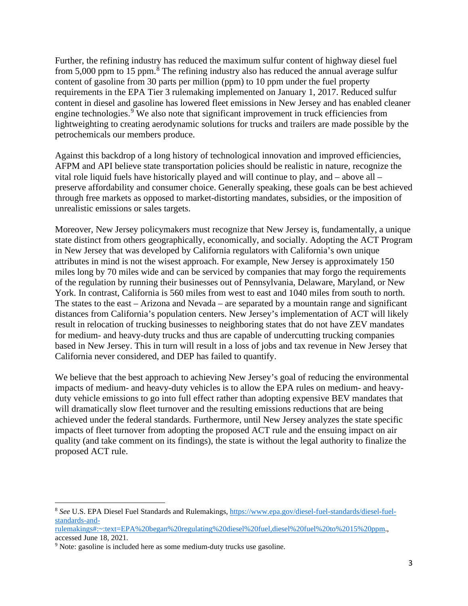Further, the refining industry has reduced the maximum sulfur content of highway diesel fuel from 5,000 ppm to 15 ppm. $8\text{ }$  $8\text{ }$  The refining industry also has reduced the annual average sulfur content of gasoline from 30 parts per million (ppm) to 10 ppm under the fuel property requirements in the EPA Tier 3 rulemaking implemented on January 1, 2017. Reduced sulfur content in diesel and gasoline has lowered fleet emissions in New Jersey and has enabled cleaner engine technologies.<sup>[9](#page-2-1)</sup> We also note that significant improvement in truck efficiencies from lightweighting to creating aerodynamic solutions for trucks and trailers are made possible by the petrochemicals our members produce.

Against this backdrop of a long history of technological innovation and improved efficiencies, AFPM and API believe state transportation policies should be realistic in nature, recognize the vital role liquid fuels have historically played and will continue to play, and – above all – preserve affordability and consumer choice. Generally speaking, these goals can be best achieved through free markets as opposed to market-distorting mandates, subsidies, or the imposition of unrealistic emissions or sales targets.

Moreover, New Jersey policymakers must recognize that New Jersey is, fundamentally, a unique state distinct from others geographically, economically, and socially. Adopting the ACT Program in New Jersey that was developed by California regulators with California's own unique attributes in mind is not the wisest approach. For example, New Jersey is approximately 150 miles long by 70 miles wide and can be serviced by companies that may forgo the requirements of the regulation by running their businesses out of Pennsylvania, Delaware, Maryland, or New York. In contrast, California is 560 miles from west to east and 1040 miles from south to north. The states to the east – Arizona and Nevada – are separated by a mountain range and significant distances from California's population centers. New Jersey's implementation of ACT will likely result in relocation of trucking businesses to neighboring states that do not have ZEV mandates for medium- and heavy-duty trucks and thus are capable of undercutting trucking companies based in New Jersey. This in turn will result in a loss of jobs and tax revenue in New Jersey that California never considered, and DEP has failed to quantify.

We believe that the best approach to achieving New Jersey's goal of reducing the environmental impacts of medium- and heavy-duty vehicles is to allow the EPA rules on medium- and heavyduty vehicle emissions to go into full effect rather than adopting expensive BEV mandates that will dramatically slow fleet turnover and the resulting emissions reductions that are being achieved under the federal standards. Furthermore, until New Jersey analyzes the state specific impacts of fleet turnover from adopting the proposed ACT rule and the ensuing impact on air quality (and take comment on its findings), the state is without the legal authority to finalize the proposed ACT rule.

<span id="page-2-0"></span><sup>8</sup> *See* U.S. EPA Diesel Fuel Standards and Rulemakings, [https://www.epa.gov/diesel-fuel-standards/diesel-fuel](https://www.epa.gov/diesel-fuel-standards/diesel-fuel-standards-and-rulemakings#:%7E:text=EPA%20began%20regulating%20diesel%20fuel,diesel%20fuel%20to%2015%20ppm)[standards-and-](https://www.epa.gov/diesel-fuel-standards/diesel-fuel-standards-and-rulemakings#:%7E:text=EPA%20began%20regulating%20diesel%20fuel,diesel%20fuel%20to%2015%20ppm)

[rulemakings#:~:text=EPA%20began%20regulating%20diesel%20fuel,diesel%20fuel%20to%2015%20ppm.](https://www.epa.gov/diesel-fuel-standards/diesel-fuel-standards-and-rulemakings#:%7E:text=EPA%20began%20regulating%20diesel%20fuel,diesel%20fuel%20to%2015%20ppm), accessed June 18, 2021.

<span id="page-2-1"></span><sup>&</sup>lt;sup>9</sup> Note: gasoline is included here as some medium-duty trucks use gasoline.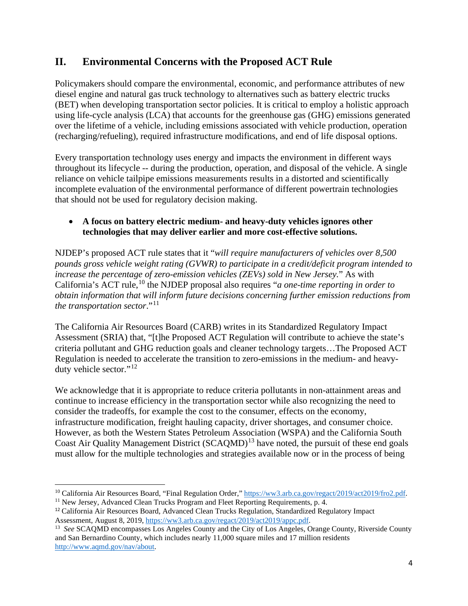# **II. Environmental Concerns with the Proposed ACT Rule**

Policymakers should compare the environmental, economic, and performance attributes of new diesel engine and natural gas truck technology to alternatives such as battery electric trucks (BET) when developing transportation sector policies. It is critical to employ a holistic approach using life-cycle analysis (LCA) that accounts for the greenhouse gas (GHG) emissions generated over the lifetime of a vehicle, including emissions associated with vehicle production, operation (recharging/refueling), required infrastructure modifications, and end of life disposal options.

Every transportation technology uses energy and impacts the environment in different ways throughout its lifecycle -- during the production, operation, and disposal of the vehicle. A single reliance on vehicle tailpipe emissions measurements results in a distorted and scientifically incomplete evaluation of the environmental performance of different powertrain technologies that should not be used for regulatory decision making.

#### • **A focus on battery electric medium- and heavy-duty vehicles ignores other technologies that may deliver earlier and more cost-effective solutions.**

NJDEP's proposed ACT rule states that it "*will require manufacturers of vehicles over 8,500 pounds gross vehicle weight rating (GVWR) to participate in a credit/deficit program intended to increase the percentage of zero-emission vehicles (ZEVs) sold in New Jersey.*" As with California's ACT rule, [10](#page-3-0) the NJDEP proposal also requires "*a one-time reporting in order to obtain information that will inform future decisions concerning further emission reductions from the transportation sector*."[11](#page-3-1)

The California Air Resources Board (CARB) writes in its Standardized Regulatory Impact Assessment (SRIA) that, "[t]he Proposed ACT Regulation will contribute to achieve the state's criteria pollutant and GHG reduction goals and cleaner technology targets…The Proposed ACT Regulation is needed to accelerate the transition to zero-emissions in the medium- and heavyduty vehicle sector."[12](#page-3-2)

We acknowledge that it is appropriate to reduce criteria pollutants in non-attainment areas and continue to increase efficiency in the transportation sector while also recognizing the need to consider the tradeoffs, for example the cost to the consumer, effects on the economy, infrastructure modification, freight hauling capacity, driver shortages, and consumer choice. However, as both the Western States Petroleum Association (WSPA) and the California South Coast Air Quality Management District (SCAQMD)<sup>[13](#page-3-3)</sup> have noted, the pursuit of these end goals must allow for the multiple technologies and strategies available now or in the process of being

<span id="page-3-0"></span><sup>&</sup>lt;sup>10</sup> California Air Resources Board, "Final Regulation Order,[" https://ww3.arb.ca.gov/regact/2019/act2019/fro2.pdf.](https://ww3.arb.ca.gov/regact/2019/act2019/fro2.pdf) <sup>11</sup> New Jersey, Advanced Clean Trucks Program and Fleet Reporting Requirements, p. 4.

<span id="page-3-2"></span><span id="page-3-1"></span><sup>12</sup> California Air Resources Board, Advanced Clean Trucks Regulation, Standardized Regulatory Impact Assessment, August 8, 2019[, https://ww3.arb.ca.gov/regact/2019/act2019/appc.pdf.](https://ww3.arb.ca.gov/regact/2019/act2019/appc.pdf)

<span id="page-3-3"></span><sup>13</sup> *See* SCAQMD encompasses Los Angeles County and the City of Los Angeles, Orange County, Riverside County and San Bernardino County, which includes nearly 11,000 square miles and 17 million residents [http://www.aqmd.gov/nav/about.](http://www.aqmd.gov/nav/about)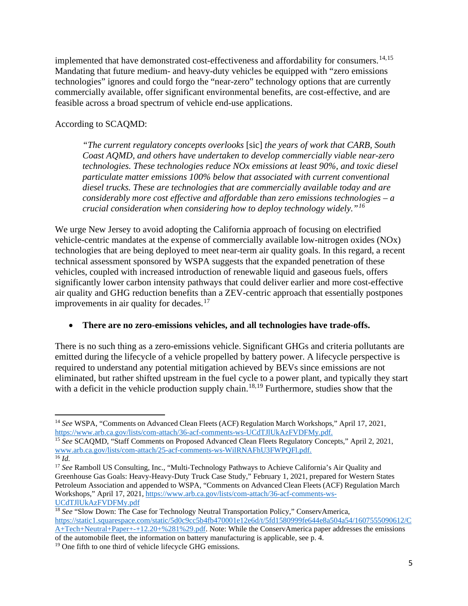implemented that have demonstrated cost-effectiveness and affordability for consumers.<sup>[14](#page-4-0),[15](#page-4-1)</sup> Mandating that future medium- and heavy-duty vehicles be equipped with "zero emissions technologies" ignores and could forgo the "near-zero" technology options that are currently commercially available, offer significant environmental benefits, are cost-effective, and are feasible across a broad spectrum of vehicle end-use applications.

#### According to SCAQMD:

*"The current regulatory concepts overlooks* [sic] *the years of work that CARB, South Coast AQMD, and others have undertaken to develop commercially viable near-zero technologies. These technologies reduce NOx emissions at least 90%, and toxic diesel particulate matter emissions 100% below that associated with current conventional diesel trucks. These are technologies that are commercially available today and are considerably more cost effective and affordable than zero emissions technologies – a crucial consideration when considering how to deploy technology widely."[16](#page-4-2)*

We urge New Jersey to avoid adopting the California approach of focusing on electrified vehicle-centric mandates at the expense of commercially available low-nitrogen oxides (NOx) technologies that are being deployed to meet near-term air quality goals. In this regard, a recent technical assessment sponsored by WSPA suggests that the expanded penetration of these vehicles, coupled with increased introduction of renewable liquid and gaseous fuels, offers significantly lower carbon intensity pathways that could deliver earlier and more cost-effective air quality and GHG reduction benefits than a ZEV-centric approach that essentially postpones improvements in air quality for decades.<sup>[17](#page-4-3)</sup>

#### • **There are no zero-emissions vehicles, and all technologies have trade-offs.**

There is no such thing as a zero-emissions vehicle. Significant GHGs and criteria pollutants are emitted during the lifecycle of a vehicle propelled by battery power. A lifecycle perspective is required to understand any potential mitigation achieved by BEVs since emissions are not eliminated, but rather shifted upstream in the fuel cycle to a power plant, and typically they start with a deficit in the vehicle production supply chain.<sup>[18,](#page-4-4)[19](#page-4-5)</sup> Furthermore, studies show that the

<span id="page-4-0"></span><sup>14</sup> *See* WSPA, "Comments on Advanced Clean Fleets (ACF) Regulation March Workshops," April 17, 2021, [https://www.arb.ca.gov/lists/com-attach/36-acf-comments-ws-UCdTJlUkAzFVDFMy.pdf.](https://www.arb.ca.gov/lists/com-attach/36-acf-comments-ws-UCdTJlUkAzFVDFMy.pdf)

<span id="page-4-1"></span><sup>15</sup> *See* SCAQMD, "Staff Comments on Proposed Advanced Clean Fleets Regulatory Concepts," April 2, 2021, [www.arb.ca.gov/lists/com-attach/25-acf-comments-ws-WilRNAFhU3FWPQFl.pdf.](http://www.arb.ca.gov/lists/com-attach/25-acf-comments-ws-WilRNAFhU3FWPQFl.pdf)

<span id="page-4-2"></span> $\overline{^{16}}$  *Id.* 

<span id="page-4-3"></span><sup>&</sup>lt;sup>17</sup> See Ramboll US Consulting, Inc., "Multi-Technology Pathways to Achieve California's Air Quality and Greenhouse Gas Goals: Heavy-Heavy-Duty Truck Case Study," February 1, 2021, prepared for Western States Petroleum Association and appended to WSPA, "Comments on Advanced Clean Fleets (ACF) Regulation March Workshops," April 17, 2021[, https://www.arb.ca.gov/lists/com-attach/36-acf-comments-ws-](https://www.arb.ca.gov/lists/com-attach/36-acf-comments-ws-UCdTJlUkAzFVDFMy.pdf)[UCdTJlUkAzFVDFMy.pdf](https://www.arb.ca.gov/lists/com-attach/36-acf-comments-ws-UCdTJlUkAzFVDFMy.pdf)

<span id="page-4-4"></span><sup>&</sup>lt;sup>18</sup> See "Slow Down: The Case for Technology Neutral Transportation Policy," ConservAmerica, [https://static1.squarespace.com/static/5d0c9cc5b4fb470001e12e6d/t/5fd1580999fe644e8a504a54/1607555090612/C](https://static1.squarespace.com/static/5d0c9cc5b4fb470001e12e6d/t/5fd1580999fe644e8a504a54/1607555090612/CA+Tech+Neutral+Paper+-+12.20+%281%29.pdf) [A+Tech+Neutral+Paper+-+12.20+%281%29.pdf.](https://static1.squarespace.com/static/5d0c9cc5b4fb470001e12e6d/t/5fd1580999fe644e8a504a54/1607555090612/CA+Tech+Neutral+Paper+-+12.20+%281%29.pdf) Note: While the ConservAmerica paper addresses the emissions of the automobile fleet, the information on battery manufacturing is applicable, see p. 4.

<span id="page-4-5"></span><sup>&</sup>lt;sup>19</sup> One fifth to one third of vehicle lifecycle GHG emissions.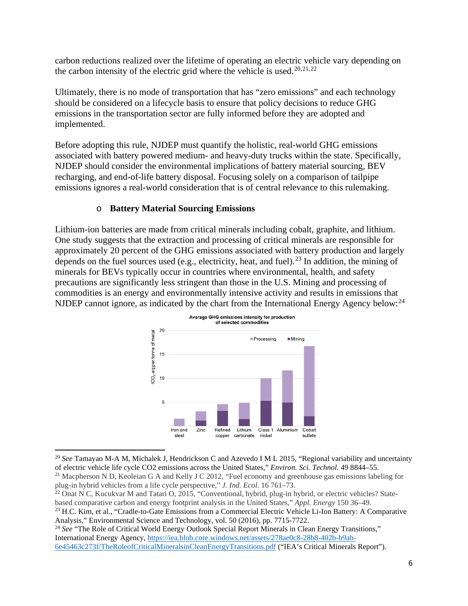carbon reductions realized over the lifetime of operating an electric vehicle vary depending on the carbon intensity of the electric grid where the vehicle is used.<sup>[20](#page-5-0),[21,](#page-5-1)[22](#page-5-2)</sup>

Ultimately, there is no mode of transportation that has "zero emissions" and each technology should be considered on a lifecycle basis to ensure that policy decisions to reduce GHG emissions in the transportation sector are fully informed before they are adopted and implemented.

Before adopting this rule, NJDEP must quantify the holistic, real-world GHG emissions associated with battery powered medium- and heavy-duty trucks within the state. Specifically, NJDEP should consider the environmental implications of battery material sourcing, BEV recharging, and end-of-life battery disposal. Focusing solely on a comparison of tailpipe emissions ignores a real-world consideration that is of central relevance to this rulemaking.

#### o **Battery Material Sourcing Emissions**

Lithium-ion batteries are made from critical minerals including cobalt, graphite, and lithium. One study suggests that the extraction and processing of critical minerals are responsible for approximately 20 percent of the GHG emissions associated with battery production and largely depends on the fuel sources used (e.g., electricity, heat, and fuel).<sup>[23](#page-5-3)</sup> In addition, the mining of minerals for BEVs typically occur in countries where environmental, health, and safety precautions are significantly less stringent than those in the U.S. Mining and processing of commodities is an energy and environmentally intensive activity and results in emissions that NJDEP cannot ignore, as indicated by the chart from the International Energy Agency below:<sup>[24](#page-5-4)</sup>



<span id="page-5-0"></span><sup>20</sup> *See* Tamayao M-A M, Michalek J, Hendrickson C and Azevedo I M L 2015, "Regional variability and uncertainty of electric vehicle life cycle CO2 emissions across the United States," *Environ. Sci. Technol.* 49 8844–55. <sup>21</sup> Macpherson N D, Keoleian G A and Kelly J C 2012, "Fuel economy and greenhouse gas emissions labeling for

<span id="page-5-1"></span>plug-in hybrid vehicles from a life cycle perspective," *J. Ind. Ecol.* 16 761–73.

<span id="page-5-2"></span><sup>&</sup>lt;sup>22</sup> Onat N C, Kucukvar M and Tatari O, 2015, "Conventional, hybrid, plug-in hybrid, or electric vehicles? Statebased comparative carbon and energy footprint analysis in the United States," *Appl. Energy* 150 36–49.

<span id="page-5-3"></span><sup>&</sup>lt;sup>23</sup> H.C. Kim, et al., "Cradle-to-Gate Emissions from a Commercial Electric Vehicle Li-Ion Battery: A Comparative Analysis," Environmental Science and Technology, vol. 50 (2016), pp. 7715-7722.

<span id="page-5-4"></span><sup>&</sup>lt;sup>24</sup> See "The Role of Critical World Energy Outlook Special Report Minerals in Clean Energy Transitions," International Energy Agency, [https://iea.blob.core.windows.net/assets/278ae0c8-28b8-402b-b9ab-](https://iea.blob.core.windows.net/assets/278ae0c8-28b8-402b-b9ab-6e45463c273f/TheRoleofCriticalMineralsinCleanEnergyTransitions.pdf)[6e45463c273f/TheRoleofCriticalMineralsinCleanEnergyTransitions.pdf](https://iea.blob.core.windows.net/assets/278ae0c8-28b8-402b-b9ab-6e45463c273f/TheRoleofCriticalMineralsinCleanEnergyTransitions.pdf) ("IEA's Critical Minerals Report").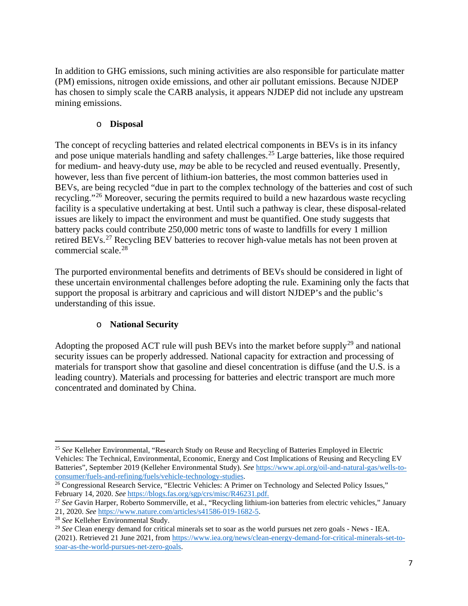In addition to GHG emissions, such mining activities are also responsible for particulate matter (PM) emissions, nitrogen oxide emissions, and other air pollutant emissions. Because NJDEP has chosen to simply scale the CARB analysis, it appears NJDEP did not include any upstream mining emissions.

#### o **Disposal**

The concept of recycling batteries and related electrical components in BEVs is in its infancy and [pose unique materials handling and safety challenges.](https://www.api.org/-/media/Files/Oil-and-Natural-Gas/Fuels/EV%20Battery%20Reuse%20Recyc%20API%20Summary%20Report%2024Nov2020.pdf) [25](#page-6-0) Large batteries, like those required for medium- and heavy-duty use, *may* be able to be recycled and reused eventually. Presently, however, less than five percent of lithium-ion batteries, the most common batteries used in BEVs, are being recycled "due in part to the complex technology of the batteries and cost of such recycling."[26](#page-6-1) Moreover, securing the permits required to build a new hazardous waste recycling facility is a speculative undertaking at best. Until such a pathway is clear, these disposal-related issues are likely to impact the environment and must be quantified. One study suggests that battery packs could contribute 250,000 metric tons of waste to landfills for every 1 million retired BEVs.<sup>[27](#page-6-2)</sup> Recycling BEV batteries to recover high-value metals has not been proven at commercial scale.[28](#page-6-3)

The purported environmental benefits and detriments of BEVs should be considered in light of these uncertain environmental challenges before adopting the rule. Examining only the facts that support the proposal is arbitrary and capricious and will distort NJDEP's and the public's understanding of this issue.

### o **National Security**

Adopting the proposed ACT rule will push BEVs into the market before supply<sup>[29](#page-6-4)</sup> and national security issues can be properly addressed. National capacity for extraction and processing of materials for transport show that gasoline and diesel concentration is diffuse (and the U.S. is a leading country). Materials and processing for batteries and electric transport are much more concentrated and dominated by China.

<span id="page-6-0"></span><sup>25</sup> *See* Kelleher Environmental, "Research Study on Reuse and Recycling of Batteries Employed in Electric Vehicles: The Technical, Environmental, Economic, Energy and Cost Implications of Reusing and Recycling EV Batteries", September 2019 (Kelleher Environmental Study). *See* [https://www.api.org/oil-and-natural-gas/wells-to](https://www.api.org/oil-and-natural-gas/wells-to-consumer/fuels-and-refining/fuels/vehicle-technology-studies)[consumer/fuels-and-refining/fuels/vehicle-technology-studies.](https://www.api.org/oil-and-natural-gas/wells-to-consumer/fuels-and-refining/fuels/vehicle-technology-studies)

<span id="page-6-1"></span><sup>&</sup>lt;sup>26</sup> Congressional Research Service, "Electric Vehicles: A Primer on Technology and Selected Policy Issues," February 14, 2020. *See* [https://blogs.fas.org/sgp/crs/misc/R46231.pdf.](https://blogs.fas.org/sgp/crs/misc/R46231.pdf)

<span id="page-6-2"></span><sup>27</sup> *See* Gavin Harper, Roberto Sommerville, et al., "Recycling lithium-ion batteries from electric vehicles," January 21, 2020. *See* [https://www.nature.com/articles/s41586-019-1682-5.](https://www.nature.com/articles/s41586-019-1682-5)

<span id="page-6-3"></span><sup>28</sup> *See* Kelleher Environmental Study.

<span id="page-6-4"></span><sup>29</sup> *See* Clean energy demand for critical minerals set to soar as the world pursues net zero goals - News - IEA. (2021). Retrieved 21 June 2021, from [https://www.iea.org/news/clean-energy-demand-for-critical-minerals-set-to](https://www.iea.org/news/clean-energy-demand-for-critical-minerals-set-to-soar-as-the-world-pursues-net-zero-goals)[soar-as-the-world-pursues-net-zero-goals.](https://www.iea.org/news/clean-energy-demand-for-critical-minerals-set-to-soar-as-the-world-pursues-net-zero-goals)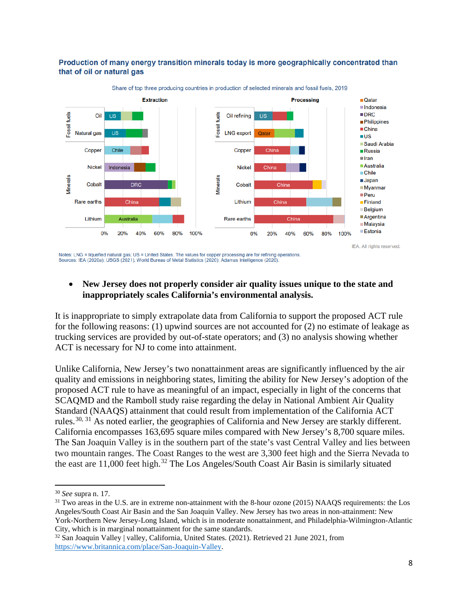#### Production of many energy transition minerals today is more geographically concentrated than that of oil or natural gas



Share of top three producing countries in production of selected minerals and fossil fuels, 2019

Notes: LNG = liquefied natural gas; US = United States. The values for copper processing are for refining operations Sources: IEA (2020a); USGS (2021), World Bureau of Metal Statistics (2020); Adamas Intelligence (2020)

#### • **New Jersey does not properly consider air quality issues unique to the state and inappropriately scales California's environmental analysis.**

It is inappropriate to simply extrapolate data from California to support the proposed ACT rule for the following reasons: (1) upwind sources are not accounted for (2) no estimate of leakage as trucking services are provided by out-of-state operators; and (3) no analysis showing whether ACT is necessary for NJ to come into attainment.

Unlike California, New Jersey's two nonattainment areas are significantly influenced by the air quality and emissions in neighboring states, limiting the ability for New Jersey's adoption of the proposed ACT rule to have as meaningful of an impact, especially in light of the concerns that SCAQMD and the Ramboll study raise regarding the delay in National Ambient Air Quality Standard (NAAQS) attainment that could result from implementation of the California ACT rules.<sup>[30](#page-7-0), [31](#page-7-1)</sup> As noted earlier, the geographies of California and New Jersey are starkly different. California encompasses 163,695 square miles compared with New Jersey's 8,700 square miles. The San Joaquin Valley is in the southern part of the state's vast Central Valley and lies between two mountain ranges. The Coast Ranges to the west are 3,300 feet high and the Sierra Nevada to the east are 11,000 feet high.<sup>[32](#page-7-2)</sup> The Los Angeles/South Coast Air Basin is similarly situated

<span id="page-7-0"></span><sup>30</sup> *See* supra n. 17.

<span id="page-7-1"></span><sup>&</sup>lt;sup>31</sup> Two areas in the U.S. are in extreme non-attainment with the 8-hour ozone (2015) NAAQS requirements: the Los Angeles/South Coast Air Basin and the San Joaquin Valley. New Jersey has two areas in non-attainment: New York-Northern New Jersey-Long Island, which is in moderate nonattainment, and Philadelphia-Wilmington-Atlantic City, which is in marginal nonattainment for the same standards.

<span id="page-7-2"></span><sup>32</sup> San Joaquin Valley | valley, California, United States. (2021). Retrieved 21 June 2021, from [https://www.britannica.com/place/San-Joaquin-Valley.](https://www.britannica.com/place/San-Joaquin-Valley)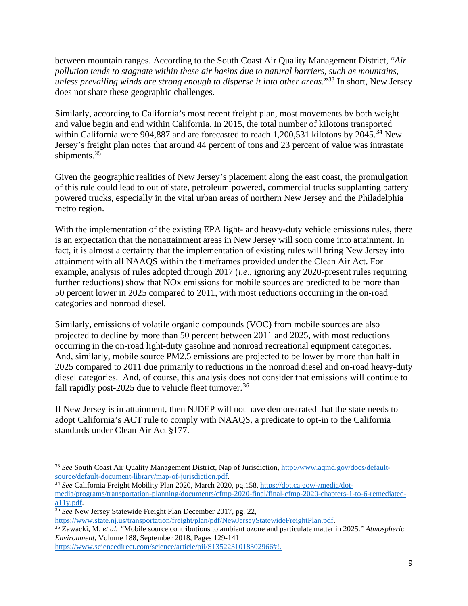between mountain ranges. According to the South Coast Air Quality Management District, "*Air pollution tends to stagnate within these air basins due to natural barriers, such as mountains, unless prevailing winds are strong enough to disperse it into other areas*."[33](#page-8-0) In short, New Jersey does not share these geographic challenges.

Similarly, according to California's most recent freight plan, most movements by both weight and value begin and end within California. In 2015, the total number of kilotons transported within California were 904,887 and are forecasted to reach 1,200,531 kilotons by  $2045.^{34}$  $2045.^{34}$  $2045.^{34}$  New Jersey's freight plan notes that around 44 percent of tons and 23 percent of value was intrastate shipments.<sup>[35](#page-8-2)</sup>

Given the geographic realities of New Jersey's placement along the east coast, the promulgation of this rule could lead to out of state, petroleum powered, commercial trucks supplanting battery powered trucks, especially in the vital urban areas of northern New Jersey and the Philadelphia metro region.

With the implementation of the existing EPA light- and heavy-duty vehicle emissions rules, there is an expectation that the nonattainment areas in New Jersey will soon come into attainment. In fact, it is almost a certainty that the implementation of existing rules will bring New Jersey into attainment with all NAAQS within the timeframes provided under the Clean Air Act. For example, analysis of rules adopted through 2017 (*i.e*., ignoring any 2020-present rules requiring further reductions) show that NOx emissions for mobile sources are predicted to be more than 50 percent lower in 2025 compared to 2011, with most reductions occurring in the on-road categories and nonroad diesel.

Similarly, emissions of volatile organic compounds (VOC) from mobile sources are also projected to decline by more than 50 percent between 2011 and 2025, with most reductions occurring in the on-road light-duty gasoline and nonroad recreational equipment categories. And, similarly, mobile source PM2.5 emissions are projected to be lower by more than half in 2025 compared to 2011 due primarily to reductions in the nonroad diesel and on-road heavy-duty diesel categories. And, of course, this analysis does not consider that emissions will continue to fall rapidly post-2025 due to vehicle fleet turnover.<sup>[36](#page-8-3)</sup>

If New Jersey is in attainment, then NJDEP will not have demonstrated that the state needs to adopt California's ACT rule to comply with NAAQS, a predicate to opt-in to the California standards under Clean Air Act §177.

[https://www.state.nj.us/transportation/freight/plan/pdf/NewJerseyStatewideFreightPlan.pdf.](https://www.state.nj.us/transportation/freight/plan/pdf/NewJerseyStatewideFreightPlan.pdf)

<span id="page-8-3"></span><sup>36</sup> Zawacki, M. *et al. "*Mobile source contributions to ambient ozone and particulate matter in 2025." *Atmospheric Environment,* Volume 188, September 2018, Pages 129-141 [https://www.sciencedirect.com/science/article/pii/S1352231018302966#!.](https://www.sciencedirect.com/science/article/pii/S1352231018302966)

<span id="page-8-0"></span><sup>33</sup> *See* South Coast Air Quality Management District, Nap of Jurisdiction, [http://www.aqmd.gov/docs/default](http://www.aqmd.gov/docs/default-source/default-document-library/map-of-jurisdiction.pdf)[source/default-document-library/map-of-jurisdiction.pdf.](http://www.aqmd.gov/docs/default-source/default-document-library/map-of-jurisdiction.pdf)

<span id="page-8-1"></span><sup>&</sup>lt;sup>34</sup> See California Freight Mobility Plan 2020, March 2020, pg.158[, https://dot.ca.gov/-/media/dot](https://dot.ca.gov/-/media/dot-media/programs/transportation-planning/documents/cfmp-2020-final/final-cfmp-2020-chapters-1-to-6-remediated-a11y.pdf)[media/programs/transportation-planning/documents/cfmp-2020-final/final-cfmp-2020-chapters-1-to-6-remediated](https://dot.ca.gov/-/media/dot-media/programs/transportation-planning/documents/cfmp-2020-final/final-cfmp-2020-chapters-1-to-6-remediated-a11y.pdf)[a11y.pdf.](https://dot.ca.gov/-/media/dot-media/programs/transportation-planning/documents/cfmp-2020-final/final-cfmp-2020-chapters-1-to-6-remediated-a11y.pdf)

<span id="page-8-2"></span><sup>&</sup>lt;sup>35</sup> See New Jersey Statewide Freight Plan December 2017, pg. 22,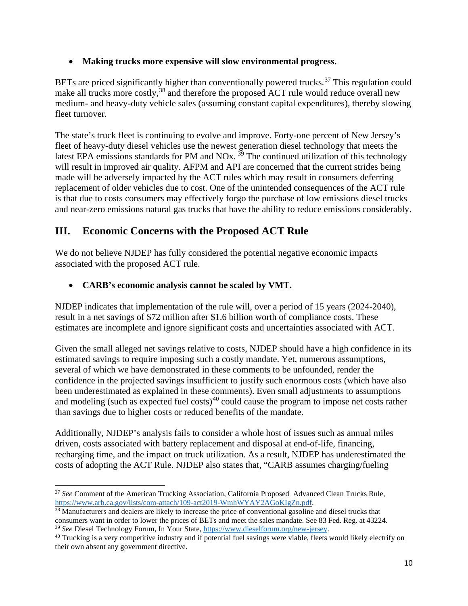#### • **Making trucks more expensive will slow environmental progress.**

BETs are priced significantly higher than conventionally powered trucks.<sup>[37](#page-9-0)</sup> This regulation could make all trucks more costly,<sup>[38](#page-9-1)</sup> and therefore the proposed ACT rule would reduce overall new medium- and heavy-duty vehicle sales (assuming constant capital expenditures), thereby slowing fleet turnover.

The state's truck fleet is continuing to evolve and improve. Forty-one percent of New Jersey's fleet of heavy-duty diesel vehicles use the newest generation diesel technology that meets the latest EPA emissions standards for PM and NOx.  $39$  The continued utilization of this technology will result in improved air quality. AFPM and API are concerned that the current strides being made will be adversely impacted by the ACT rules which may result in consumers deferring replacement of older vehicles due to cost. One of the unintended consequences of the ACT rule is that due to costs consumers may effectively forgo the purchase of low emissions diesel trucks and near-zero emissions natural gas trucks that have the ability to reduce emissions considerably.

# **III. Economic Concerns with the Proposed ACT Rule**

We do not believe NJDEP has fully considered the potential negative economic impacts associated with the proposed ACT rule.

### • **CARB's economic analysis cannot be scaled by VMT.**

NJDEP indicates that implementation of the rule will, over a period of 15 years (2024-2040), result in a net savings of \$72 million after \$1.6 billion worth of compliance costs. These estimates are incomplete and ignore significant costs and uncertainties associated with ACT.

Given the small alleged net savings relative to costs, NJDEP should have a high confidence in its estimated savings to require imposing such a costly mandate. Yet, numerous assumptions, several of which we have demonstrated in these comments to be unfounded, render the confidence in the projected savings insufficient to justify such enormous costs (which have also been underestimated as explained in these comments). Even small adjustments to assumptions and modeling (such as expected fuel costs)<sup>[40](#page-9-3)</sup> could cause the program to impose net costs rather than savings due to higher costs or reduced benefits of the mandate.

Additionally, NJDEP's analysis fails to consider a whole host of issues such as annual miles driven, costs associated with battery replacement and disposal at end-of-life, financing, recharging time, and the impact on truck utilization. As a result, NJDEP has underestimated the costs of adopting the ACT Rule. NJDEP also states that, "CARB assumes charging/fueling

<span id="page-9-0"></span><sup>&</sup>lt;sup>37</sup> See Comment of the American Trucking Association, California Proposed Advanced Clean Trucks Rule, [https://www.arb.ca.gov/lists/com-attach/109-act2019-WmhWYAY2AGoKIgZn.pdf.](https://www.arb.ca.gov/lists/com-attach/109-act2019-WmhWYAY2AGoKIgZn.pdf)

<span id="page-9-1"></span><sup>&</sup>lt;sup>38</sup> Manufacturers and dealers are likely to increase the price of conventional gasoline and diesel trucks that consumers want in order to lower the prices of BETs and meet the sales mandate. See 83 Fed. Reg. at 43224. <sup>39</sup> *See* Diesel Technology Forum, In Your State, [https://www.dieselforum.org/new-jersey.](https://www.dieselforum.org/new-jersey)

<span id="page-9-3"></span><span id="page-9-2"></span> $40$  Trucking is a very competitive industry and if potential fuel savings were viable, fleets would likely electrify on their own absent any government directive.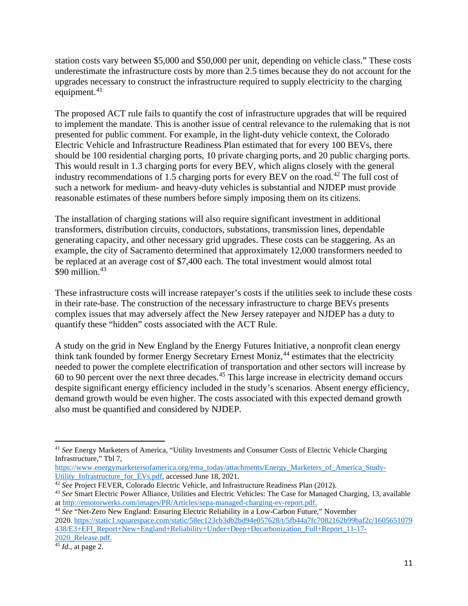station costs vary between \$5,000 and \$50,000 per unit, depending on vehicle class." These costs underestimate the infrastructure costs by more than 2.5 times because they do not account for the upgrades necessary to construct the infrastructure required to supply electricity to the charging equipment. $41$ 

The proposed ACT rule fails to quantify the cost of infrastructure upgrades that will be required to implement the mandate. This is another issue of central relevance to the rulemaking that is not presented for public comment. For example, in the light-duty vehicle context, the Colorado Electric Vehicle and Infrastructure Readiness Plan estimated that for every 100 BEVs, there should be 100 residential charging ports, 10 private charging ports, and 20 public charging ports. This would result in 1.3 charging ports for every BEV, which aligns closely with the general industry recommendations of 1.5 charging ports for every BEV on the road.<sup>[42](#page-10-1)</sup> The full cost of such a network for medium- and heavy-duty vehicles is substantial and NJDEP must provide reasonable estimates of these numbers before simply imposing them on its citizens.

The installation of charging stations will also require significant investment in additional transformers, distribution circuits, conductors, substations, transmission lines, dependable generating capacity, and other necessary grid upgrades. These costs can be staggering. As an example, the city of Sacramento determined that approximately 12,000 transformers needed to be replaced at an average cost of \$7,400 each. The total investment would almost total \$90 million. [43](#page-10-2)

These infrastructure costs will increase ratepayer's costs if the utilities seek to include these costs in their rate-base. The construction of the necessary infrastructure to charge BEVs presents complex issues that may adversely affect the New Jersey ratepayer and NJDEP has a duty to quantify these "hidden" costs associated with the ACT Rule.

A study on the grid in New England by the Energy Futures Initiative, a nonprofit clean energy think tank founded by former Energy Secretary Ernest Moniz,<sup>[44](#page-10-3)</sup> estimates that the electricity needed to power the complete electrification of transportation and other sectors will increase by  $60$  to 90 percent over the next three decades.<sup>[45](#page-10-4)</sup> This large increase in electricity demand occurs despite significant energy efficiency included in the study's scenarios. Absent energy efficiency, demand growth would be even higher. The costs associated with this expected demand growth also must be quantified and considered by NJDEP.

<span id="page-10-0"></span><sup>41</sup> *See* Energy Marketers of America, "Utility Investments and Consumer Costs of Electric Vehicle Charging Infrastructure," Tbl 7,

[https://www.energymarketersofamerica.org/ema\\_today/attachments/Energy\\_Marketers\\_of\\_America\\_Study-](https://www.energymarketersofamerica.org/ema_today/attachments/Energy_Marketers_of_America_Study-Utility_Infrastructure_for_EVs.pdf)Utility Infrastructure for EVs.pdf, accessed June 18, 2021.

<span id="page-10-1"></span><sup>&</sup>lt;sup>42</sup> See Project FEVER, Colorado Electric Vehicle, and Infrastructure Readiness Plan (2012).

<span id="page-10-2"></span><sup>43</sup> *See* Smart Electric Power Alliance, Utilities and Electric Vehicles: The Case for Managed Charging, 13, available a[t http://emotorwerks.com/images/PR/Articles/sepa-managed-charging-ev-report.pdf.](http://emotorwerks.com/images/PR/Articles/sepa-managed-charging-ev-report.pdf)

<span id="page-10-3"></span><sup>44</sup> *See* "Net-Zero New England: Ensuring Electric Reliability in a Low-Carbon Future," November 2020. [https://static1.squarespace.com/static/58ec123cb3db2bd94e057628/t/5fb44a7fc7082162b99baf2c/1605651079](https://static1.squarespace.com/static/58ec123cb3db2bd94e057628/t/5fb44a7fc7082162b99baf2c/1605651079438/E3+EFI_Report+New+England+Reliability+Under+Deep+Decarbonization_Full+Report_11-17-2020_Release.pdf) [438/E3+EFI\\_Report+New+England+Reliability+Under+Deep+Decarbonization\\_Full+Report\\_11-17-](https://static1.squarespace.com/static/58ec123cb3db2bd94e057628/t/5fb44a7fc7082162b99baf2c/1605651079438/E3+EFI_Report+New+England+Reliability+Under+Deep+Decarbonization_Full+Report_11-17-2020_Release.pdf) 2020 Release.pdf.

<span id="page-10-4"></span><sup>45</sup> *Id.,* at page 2.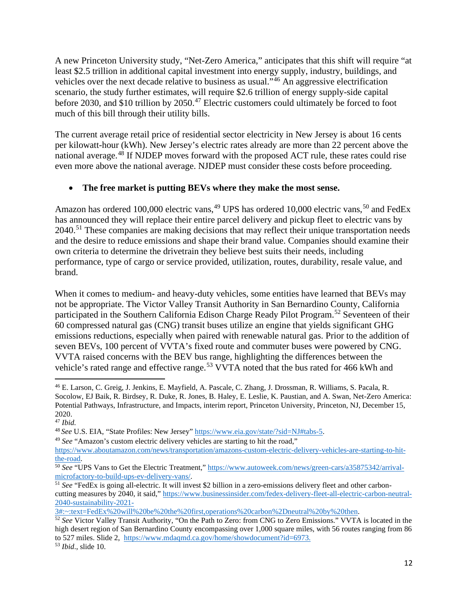A new Princeton University study, "Net-Zero America," anticipates that this shift will require "at least \$2.5 trillion in additional capital investment into energy supply, industry, buildings, and vehicles over the next decade relative to business as usual."[46](#page-11-0) An aggressive electrification scenario, the study further estimates, will require \$2.6 trillion of energy supply-side capital before 2030, and \$10 trillion by 2050.<sup>[47](#page-11-1)</sup> Electric customers could ultimately be forced to foot much of this bill through their utility bills.

The current average retail price of residential sector electricity in New Jersey is about 16 cents per kilowatt-hour (kWh). New Jersey's electric rates already are more than 22 percent above the national average.<sup>[48](#page-11-2)</sup> If NJDEP moves forward with the proposed ACT rule, these rates could rise even more above the national average. NJDEP must consider these costs before proceeding.

#### • **The free market is putting BEVs where they make the most sense.**

Amazon has ordered 100,000 electric vans,<sup>[49](#page-11-3)</sup> UPS has ordered 10,000 electric vans,<sup>[50](#page-11-4)</sup> and FedEx has announced they will replace their entire parcel delivery and pickup fleet to electric vans by 2040.<sup>[51](#page-11-5)</sup> These companies are making decisions that may reflect their unique transportation needs and the desire to reduce emissions and shape their brand value. Companies should examine their own criteria to determine the drivetrain they believe best suits their needs, including performance, type of cargo or service provided, utilization, routes, durability, resale value, and brand.

When it comes to medium- and heavy-duty vehicles, some entities have learned that BEVs may not be appropriate. The Victor Valley Transit Authority in San Bernardino County, California participated in the Southern California Edison Charge Ready Pilot Program.<sup>[52](#page-11-6)</sup> Seventeen of their 60 compressed natural gas (CNG) transit buses utilize an engine that yields significant GHG emissions reductions, especially when paired with renewable natural gas. Prior to the addition of seven BEVs, 100 percent of VVTA's fixed route and commuter buses were powered by CNG. VVTA raised concerns with the BEV bus range, highlighting the differences between the vehicle's rated range and effective range.<sup>[53](#page-11-7)</sup> VVTA noted that the bus rated for 466 kWh and

<span id="page-11-0"></span><sup>46</sup> E. Larson, C. Greig, J. Jenkins, E. Mayfield, A. Pascale, C. Zhang, J. Drossman, R. Williams, S. Pacala, R. Socolow, EJ Baik, R. Birdsey, R. Duke, R. Jones, B. Haley, E. Leslie, K. Paustian, and A. Swan, Net-Zero America: Potential Pathways, Infrastructure, and Impacts, interim report, Princeton University, Princeton, NJ, December 15, 2020.

<span id="page-11-1"></span><sup>&</sup>lt;sup>47</sup> *Ibid.*<br><sup>48</sup> *See* U.S. EIA, "State Profiles: New Jersey" https://www.eia.gov/state/?sid=NJ#tabs-5.

<span id="page-11-3"></span><span id="page-11-2"></span><sup>&</sup>lt;sup>49</sup> See "Amazon's custom electric delivery vehicles are starting to hit the road,"

[https://www.aboutamazon.com/news/transportation/amazons-custom-electric-delivery-vehicles-are-starting-to-hit-](https://www.aboutamazon.com/news/transportation/amazons-custom-electric-delivery-vehicles-are-starting-to-hit-the-road)

<span id="page-11-4"></span>the-road.<br><sup>50</sup> *See* "UPS Vans to Get the Electric Treatment," https://www.autoweek.com/news/green-cars/a35875342/arrival-<br>microfactory-to-build-ups-ev-delivery-vans/.

<span id="page-11-5"></span><sup>&</sup>lt;sup>51</sup> See "FedEx is going all-electric. It will invest \$2 billion in a zero-emissions delivery fleet and other carboncutting measures by 2040, it said," [https://www.businessinsider.com/fedex-delivery-fleet-all-electric-carbon-neutral-](https://www.businessinsider.com/fedex-delivery-fleet-all-electric-carbon-neutral-2040-sustainability-2021-3#:%7E:text=FedEx%20will%20be%20the%20first,operations%20carbon%2Dneutral%20by%20then)[2040-sustainability-2021-](https://www.businessinsider.com/fedex-delivery-fleet-all-electric-carbon-neutral-2040-sustainability-2021-3#:%7E:text=FedEx%20will%20be%20the%20first,operations%20carbon%2Dneutral%20by%20then)<br>3#:~:text=FedEx%20will%20be%20the%20first.operations%20carbon%2Dneutral%20by%20then.

<span id="page-11-6"></span><sup>&</sup>lt;sup>52</sup> See Victor Valley Transit Authority, "On the Path to Zero: from CNG to Zero Emissions." VVTA is located in the high desert region of San Bernardino County encompassing over 1,000 square miles, with 56 routes ranging from 86 to 527 miles. Slide 2, [https://www.mdaqmd.ca.gov/home/showdocument?id=6973.](https://www.mdaqmd.ca.gov/home/showdocument?id=6973) 53 *Ibid*., slide 10.

<span id="page-11-7"></span>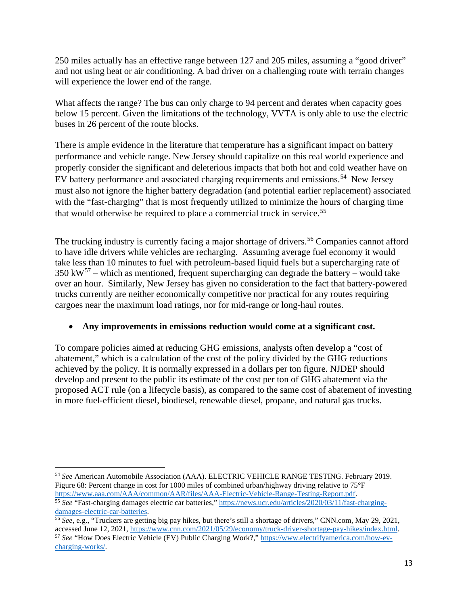250 miles actually has an effective range between 127 and 205 miles, assuming a "good driver" and not using heat or air conditioning. A bad driver on a challenging route with terrain changes will experience the lower end of the range.

What affects the range? The bus can only charge to 94 percent and derates when capacity goes below 15 percent. Given the limitations of the technology, VVTA is only able to use the electric buses in 26 percent of the route blocks.

There is ample evidence in the literature that temperature has a significant impact on battery performance and vehicle range. New Jersey should capitalize on this real world experience and properly consider the significant and deleterious impacts that both hot and cold weather have on EV battery performance and associated charging requirements and emissions.<sup>54</sup> New Jersey must also not ignore the higher battery degradation (and potential earlier replacement) associated with the "fast-charging" that is most frequently utilized to minimize the hours of charging time that would otherwise be required to place a commercial truck in service.<sup>[55](#page-12-1)</sup>

The trucking industry is currently facing a major shortage of drivers.<sup>[56](#page-12-2)</sup> Companies cannot afford to have idle drivers while vehicles are recharging. Assuming average fuel economy it would take less than 10 minutes to fuel with petroleum-based liquid fuels but a supercharging rate of  $350 \text{ kW}^{57}$  $350 \text{ kW}^{57}$  $350 \text{ kW}^{57}$  – which as mentioned, frequent supercharging can degrade the battery – would take over an hour. Similarly, New Jersey has given no consideration to the fact that battery-powered trucks currently are neither economically competitive nor practical for any routes requiring cargoes near the maximum load ratings, nor for mid-range or long-haul routes.

#### • **Any improvements in emissions reduction would come at a significant cost.**

To compare policies aimed at reducing GHG emissions, analysts often develop a "cost of abatement," which is a calculation of the cost of the policy divided by the GHG reductions achieved by the policy. It is normally expressed in a dollars per ton figure. NJDEP should develop and present to the public its estimate of the cost per ton of GHG abatement via the proposed ACT rule (on a lifecycle basis), as compared to the same cost of abatement of investing in more fuel-efficient diesel, biodiesel, renewable diesel, propane, and natural gas trucks.

<span id="page-12-0"></span><sup>54</sup> *See* American Automobile Association (AAA). ELECTRIC VEHICLE RANGE TESTING. February 2019. Figure 68: Percent change in cost for 1000 miles of combined urban/highway driving relative to 75°F [https://www.aaa.com/AAA/common/AAR/files/AAA-Electric-Vehicle-Range-Testing-Report.pdf.](https://www.aaa.com/AAA/common/AAR/files/AAA-Electric-Vehicle-Range-Testing-Report.pdf) 55 *See* "Fast-charging damages electric car batteries,[" https://news.ucr.edu/articles/2020/03/11/fast-charging](https://news.ucr.edu/articles/2020/03/11/fast-charging-damages-electric-car-batteries)[damages-electric-car-batteries.](https://news.ucr.edu/articles/2020/03/11/fast-charging-damages-electric-car-batteries)

<span id="page-12-3"></span><span id="page-12-2"></span><span id="page-12-1"></span><sup>56</sup> *See*, e.g., "Truckers are getting big pay hikes, but there's still a shortage of drivers," CNN.com, May 29, 2021, accessed June 12, 2021, [https://www.cnn.com/2021/05/29/economy/truck-driver-shortage-pay-hikes/index.html.](https://www.cnn.com/2021/05/29/economy/truck-driver-shortage-pay-hikes/index.html) <sup>57</sup> *See* "How Does Electric Vehicle (EV) Public Charging Work?," [https://www.electrifyamerica.com/how-ev](https://www.electrifyamerica.com/how-ev-charging-works/)[charging-works/.](https://www.electrifyamerica.com/how-ev-charging-works/)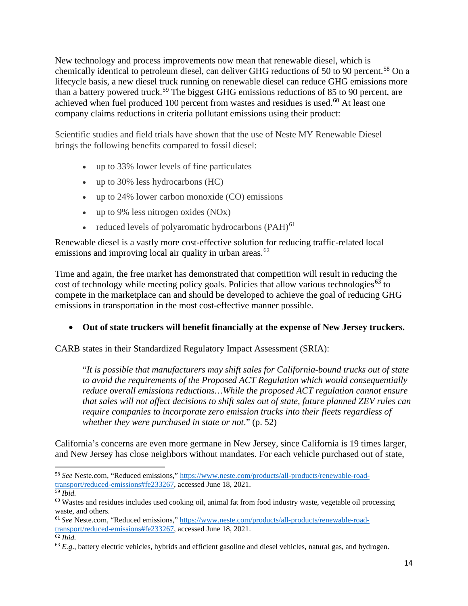New technology and process improvements now mean that renewable diesel, which is chemically identical to petroleum diesel, can deliver GHG reductions of 50 to 90 percent.<sup>[58](#page-13-0)</sup> On a lifecycle basis, a new diesel truck running on renewable diesel can reduce GHG emissions more than a battery powered truck.<sup>[59](#page-13-1)</sup> The biggest GHG emissions reductions of 85 to 90 percent, are achieved when fuel produced 100 percent from wastes and residues is used.<sup>[60](#page-13-2)</sup> At least one company claims reductions in criteria pollutant emissions using their product:

Scientific studies and field trials have shown that the use of Neste MY Renewable Diesel brings the following benefits compared to fossil diesel:

- up to 33% lower levels of fine particulates
- up to 30% less hydrocarbons (HC)
- up to 24% lower carbon monoxide (CO) emissions
- up to 9% less nitrogen oxides (NOx)
- reduced levels of polyaromatic hydrocarbons  $(PAH)^{61}$  $(PAH)^{61}$  $(PAH)^{61}$

Renewable diesel is a vastly more cost-effective solution for reducing traffic-related local emissions and improving local air quality in urban areas. $62$ 

Time and again, the free market has demonstrated that competition will result in reducing the cost of technology while meeting policy goals. Policies that allow various technologies<sup>[63](#page-13-5)</sup> to compete in the marketplace can and should be developed to achieve the goal of reducing GHG emissions in transportation in the most cost-effective manner possible.

### • **Out of state truckers will benefit financially at the expense of New Jersey truckers.**

CARB states in their Standardized Regulatory Impact Assessment (SRIA):

"*It is possible that manufacturers may shift sales for California-bound trucks out of state to avoid the requirements of the Proposed ACT Regulation which would consequentially reduce overall emissions reductions…While the proposed ACT regulation cannot ensure that sales will not affect decisions to shift sales out of state, future planned ZEV rules can require companies to incorporate zero emission trucks into their fleets regardless of whether they were purchased in state or not*." (p. 52)

California's concerns are even more germane in New Jersey, since California is 19 times larger, and New Jersey has close neighbors without mandates. For each vehicle purchased out of state,

<span id="page-13-0"></span><sup>58</sup> *See* Neste.com, "Reduced emissions,[" https://www.neste.com/products/all-products/renewable-road](https://www.neste.com/products/all-products/renewable-road-transport/reduced-emissions#fe233267)[transport/reduced-emissions#fe233267,](https://www.neste.com/products/all-products/renewable-road-transport/reduced-emissions#fe233267) accessed June 18, 2021.

<span id="page-13-1"></span><sup>59</sup> *Ibid.*

<span id="page-13-2"></span><sup>60</sup> Wastes and residues includes used cooking oil, animal fat from food industry waste, vegetable oil processing waste, and others.

<span id="page-13-3"></span><sup>61</sup> *See* Neste.com, "Reduced emissions," [https://www.neste.com/products/all-products/renewable-road](https://www.neste.com/products/all-products/renewable-road-transport/reduced-emissions#fe233267)[transport/reduced-emissions#fe233267,](https://www.neste.com/products/all-products/renewable-road-transport/reduced-emissions#fe233267) accessed June 18, 2021.

<span id="page-13-4"></span><sup>62</sup> *Ibid.*

<span id="page-13-5"></span><sup>&</sup>lt;sup>63</sup> *E.g.*, battery electric vehicles, hybrids and efficient gasoline and diesel vehicles, natural gas, and hydrogen.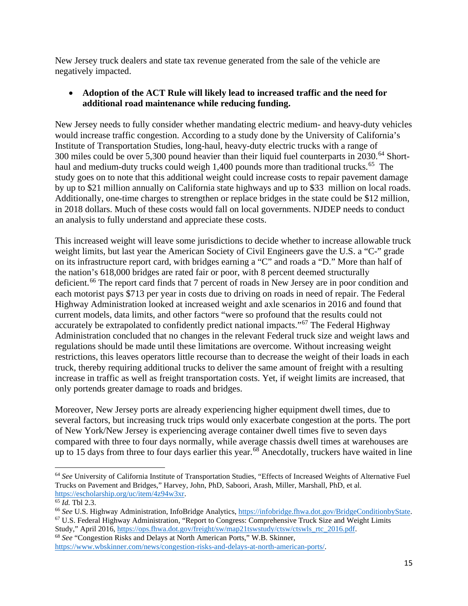New Jersey truck dealers and state tax revenue generated from the sale of the vehicle are negatively impacted.

#### • **Adoption of the ACT Rule will likely lead to increased traffic and the need for additional road maintenance while reducing funding.**

New Jersey needs to fully consider whether mandating electric medium- and heavy-duty vehicles would increase traffic congestion. According to a study done by the University of California's Institute of Transportation Studies, long-haul, heavy-duty electric trucks with a range of 300 miles could be over 5,300 pound heavier than their liquid fuel counterparts in 2030.<sup>[64](#page-14-0)</sup> Short-haul and medium-duty trucks could weigh 1,400 pounds more than traditional trucks.<sup>[65](#page-14-1)</sup> The study goes on to note that this additional weight could increase costs to repair pavement damage by up to \$21 million annually on California state highways and up to \$33 million on local roads. Additionally, one-time charges to strengthen or replace bridges in the state could be \$12 million, in 2018 dollars. Much of these costs would fall on local governments. NJDEP needs to conduct an analysis to fully understand and appreciate these costs.

This increased weight will leave some jurisdictions to decide whether to increase allowable truck weight limits, but last year the American Society of Civil Engineers gave the U.S. a "C-" grade on its infrastructure report card, with bridges earning a "C" and roads a "D." More than half of the nation's 618,000 bridges are rated fair or poor, with 8 percent deemed structurally deficient.<sup>[66](#page-14-2)</sup> The report card finds that 7 percent of roads in New Jersey are in poor condition and each motorist pays \$713 per year in costs due to driving on roads in need of repair. The Federal Highway Administration looked at increased weight and axle scenarios in 2016 and found that current models, data limits, and other factors "were so profound that the results could not accurately be extrapolated to confidently predict national impacts."[67](#page-14-3) The Federal Highway Administration concluded that no changes in the relevant Federal truck size and weight laws and regulations should be made until these limitations are overcome. Without increasing weight restrictions, this leaves operators little recourse than to decrease the weight of their loads in each truck, thereby requiring additional trucks to deliver the same amount of freight with a resulting increase in traffic as well as freight transportation costs. Yet, if weight limits are increased, that only portends greater damage to roads and bridges.

Moreover, New Jersey ports are already experiencing higher equipment dwell times, due to several factors, but increasing truck trips would only exacerbate congestion at the ports. The port of New York/New Jersey is experiencing average container dwell times five to seven days compared with three to four days normally, while average chassis dwell times at warehouses are up to 15 days from three to four days earlier this year.<sup>[68](#page-14-4)</sup> Anecdotally, truckers have waited in line

<span id="page-14-4"></span><sup>68</sup> *See* "Congestion Risks and Delays at North American Ports," W.B. Skinner, [https://www.wbskinner.com/news/congestion-risks-and-delays-at-north-american-ports/.](https://www.wbskinner.com/news/congestion-risks-and-delays-at-north-american-ports/)

<span id="page-14-0"></span><sup>64</sup> *See* University of California Institute of Transportation Studies, "Effects of Increased Weights of Alternative Fuel Trucks on Pavement and Bridges," Harvey, John, PhD, Saboori, Arash, Miller, Marshall, PhD, et al. [https://escholarship.org/uc/item/4z94w3xr.](https://escholarship.org/uc/item/4z94w3xr)

<span id="page-14-1"></span><sup>65</sup> *Id.* Tbl 2.3.

<span id="page-14-3"></span><span id="page-14-2"></span><sup>&</sup>lt;sup>66</sup> See U.S. Highway Administration, InfoBridge Analytics, [https://infobridge.fhwa.dot.gov/BridgeConditionbyState.](https://infobridge.fhwa.dot.gov/BridgeConditionbyState) <sup>67</sup> U.S. Federal Highway Administration, "Report to Congress: Comprehensive Truck Size and Weight Limits Study," April 2016, [https://ops.fhwa.dot.gov/freight/sw/map21tswstudy/ctsw/ctswls\\_rtc\\_2016.pdf.](https://ops.fhwa.dot.gov/freight/sw/map21tswstudy/ctsw/ctswls_rtc_2016.pdf)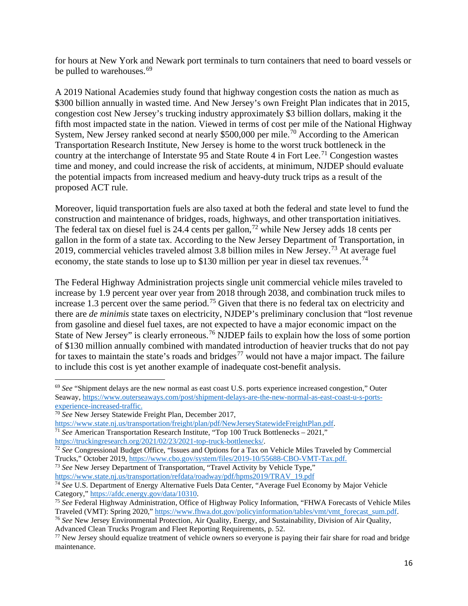for hours at New York and Newark port terminals to turn containers that need to board vessels or be pulled to warehouses.<sup>[69](#page-15-0)</sup>

A 2019 National Academies study found that highway congestion costs the nation as much as \$300 billion annually in wasted time. And New Jersey's own Freight Plan indicates that in 2015, congestion cost New Jersey's trucking industry approximately \$3 billion dollars, making it the fifth most impacted state in the nation. Viewed in terms of cost per mile of the National Highway System, New Jersey ranked second at nearly \$500,000 per mile.<sup>[70](#page-15-1)</sup> According to the American Transportation Research Institute, New Jersey is home to the worst truck bottleneck in the country at the interchange of Interstate 95 and State Route 4 in Fort Lee.<sup>[71](#page-15-2)</sup> Congestion wastes time and money, and could increase the risk of accidents, at minimum, NJDEP should evaluate the potential impacts from increased medium and heavy-duty truck trips as a result of the proposed ACT rule.

Moreover, liquid transportation fuels are also taxed at both the federal and state level to fund the construction and maintenance of bridges, roads, highways, and other transportation initiatives. The federal tax on diesel fuel is 24.4 cents per gallon,<sup>[72](#page-15-3)</sup> while New Jersey adds 18 cents per gallon in the form of a state tax. According to the New Jersey Department of Transportation, in 2019, commercial vehicles traveled almost 3.8 billion miles in New Jersey.[73](#page-15-4) At average fuel economy, the state stands to lose up to \$130 million per year in diesel tax revenues.<sup>[74](#page-15-5)</sup>

The Federal Highway Administration projects single unit commercial vehicle miles traveled to increase by 1.9 percent year over year from 2018 through 2038, and combination truck miles to increase 1.3 percent over the same period.<sup>[75](#page-15-6)</sup> Given that there is no federal tax on electricity and there are *de minimis* state taxes on electricity, NJDEP's preliminary conclusion that "lost revenue from gasoline and diesel fuel taxes, are not expected to have a major economic impact on the State of New Jersey" is clearly erroneous.<sup>[76](#page-15-7)</sup> NJDEP fails to explain how the loss of some portion of \$130 million annually combined with mandated introduction of heavier trucks that do not pay for taxes to maintain the state's roads and bridges<sup>[77](#page-15-8)</sup> would not have a major impact. The failure to include this cost is yet another example of inadequate cost-benefit analysis.

<span id="page-15-4"></span><sup>73</sup> *See* New Jersey Department of Transportation, "Travel Activity by Vehicle Type," [https://www.state.nj.us/transportation/refdata/roadway/pdf/hpms2019/TRAV\\_19.pdf](https://www.state.nj.us/transportation/refdata/roadway/pdf/hpms2019/TRAV_19.pdf)

<span id="page-15-0"></span><sup>69</sup> *See* "Shipment delays are the new normal as east coast U.S. ports experience increased congestion," Outer Seaway, [https://www.outerseaways.com/post/shipment-delays-are-the-new-normal-as-east-coast-u-s-ports](https://www.outerseaways.com/post/shipment-delays-are-the-new-normal-as-east-coast-u-s-ports-experience-increased-traffic)[experience-increased-traffic.](https://www.outerseaways.com/post/shipment-delays-are-the-new-normal-as-east-coast-u-s-ports-experience-increased-traffic)

<span id="page-15-1"></span><sup>70</sup> *See* New Jersey Statewide Freight Plan, December 2017,

[https://www.state.nj.us/transportation/freight/plan/pdf/NewJerseyStatewideFreightPlan.pdf.](https://www.state.nj.us/transportation/freight/plan/pdf/NewJerseyStatewideFreightPlan.pdf)

<span id="page-15-2"></span><sup>71</sup> *See* American Transportation Research Institute, "Top 100 Truck Bottlenecks – 2021," [https://truckingresearch.org/2021/02/23/2021-top-truck-bottlenecks/.](https://truckingresearch.org/2021/02/23/2021-top-truck-bottlenecks/)

<span id="page-15-3"></span><sup>&</sup>lt;sup>72</sup> *See* Congressional Budget Office, "Issues and Options for a Tax on Vehicle Miles Traveled by Commercial Trucks," October 2019, [https://www.cbo.gov/system/files/2019-10/55688-CBO-VMT-Tax.pdf.](https://www.cbo.gov/system/files/2019-10/55688-CBO-VMT-Tax.pdf)

<span id="page-15-5"></span><sup>&</sup>lt;sup>74</sup> See U.S. Department of Energy Alternative Fuels Data Center, "Average Fuel Economy by Major Vehicle Category," [https://afdc.energy.gov/data/10310.](https://afdc.energy.gov/data/10310)

<span id="page-15-6"></span><sup>75</sup> *See* Federal Highway Administration, Office of Highway Policy Information, "FHWA Forecasts of Vehicle Miles Traveled (VMT): Spring 2020," [https://www.fhwa.dot.gov/policyinformation/tables/vmt/vmt\\_forecast\\_sum.pdf.](https://www.fhwa.dot.gov/policyinformation/tables/vmt/vmt_forecast_sum.pdf)

<span id="page-15-7"></span><sup>76</sup> *See* New Jersey Environmental Protection, Air Quality, Energy, and Sustainability, Division of Air Quality, Advanced Clean Trucks Program and Fleet Reporting Requirements, p. 52.

<span id="page-15-8"></span> $77$  New Jersey should equalize treatment of vehicle owners so everyone is paying their fair share for road and bridge maintenance.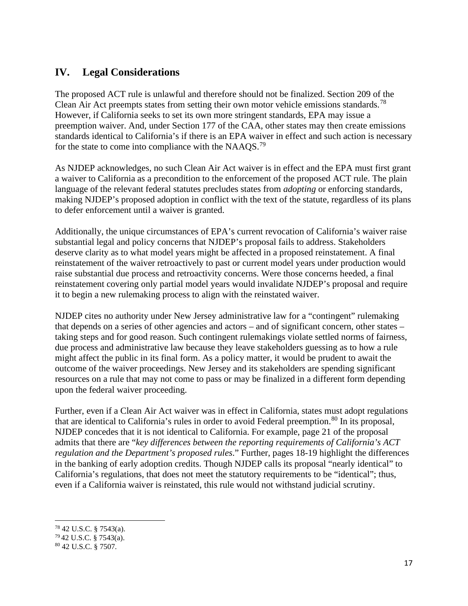### **IV. Legal Considerations**

The proposed ACT rule is unlawful and therefore should not be finalized. Section 209 of the Clean Air Act preempts states from setting their own motor vehicle emissions standards.<sup>[78](#page-16-0)</sup> However, if California seeks to set its own more stringent standards, EPA may issue a preemption waiver. And, under Section 177 of the CAA, other states may then create emissions standards identical to California's if there is an EPA waiver in effect and such action is necessary for the state to come into compliance with the NAAQS.<sup>[79](#page-16-1)</sup>

As NJDEP acknowledges, no such Clean Air Act waiver is in effect and the EPA must first grant a waiver to California as a precondition to the enforcement of the proposed ACT rule. The plain language of the relevant federal statutes precludes states from *adopting* or enforcing standards, making NJDEP's proposed adoption in conflict with the text of the statute, regardless of its plans to defer enforcement until a waiver is granted.

Additionally, the unique circumstances of EPA's current revocation of California's waiver raise substantial legal and policy concerns that NJDEP's proposal fails to address. Stakeholders deserve clarity as to what model years might be affected in a proposed reinstatement. A final reinstatement of the waiver retroactively to past or current model years under production would raise substantial due process and retroactivity concerns. Were those concerns heeded, a final reinstatement covering only partial model years would invalidate NJDEP's proposal and require it to begin a new rulemaking process to align with the reinstated waiver.

NJDEP cites no authority under New Jersey administrative law for a "contingent" rulemaking that depends on a series of other agencies and actors – and of significant concern, other states – taking steps and for good reason. Such contingent rulemakings violate settled norms of fairness, due process and administrative law because they leave stakeholders guessing as to how a rule might affect the public in its final form. As a policy matter, it would be prudent to await the outcome of the waiver proceedings. New Jersey and its stakeholders are spending significant resources on a rule that may not come to pass or may be finalized in a different form depending upon the federal waiver proceeding.

Further, even if a Clean Air Act waiver was in effect in California, states must adopt regulations that are identical to California's rules in order to avoid Federal preemption.<sup>[80](#page-16-2)</sup> In its proposal, NJDEP concedes that it is not identical to California. For example, page 21 of the proposal admits that there are "*key differences between the reporting requirements of California's ACT regulation and the Department's proposed rules*." Further, pages 18-19 highlight the differences in the banking of early adoption credits. Though NJDEP calls its proposal "nearly identical" to California's regulations, that does not meet the statutory requirements to be "identical"; thus, even if a California waiver is reinstated, this rule would not withstand judicial scrutiny.

<span id="page-16-0"></span><sup>78</sup> 42 U.S.C. § 7543(a).

<span id="page-16-1"></span> $79\,42$  U.S.C. § 7543(a).

<span id="page-16-2"></span><sup>80</sup> 42 U.S.C. § 7507.